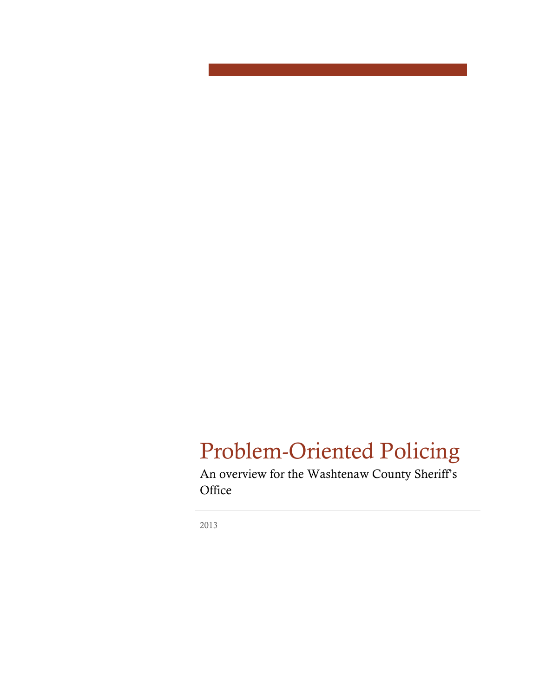# Problem-Oriented Policing

An overview for the Washtenaw County Sheriff's **Office** 

2013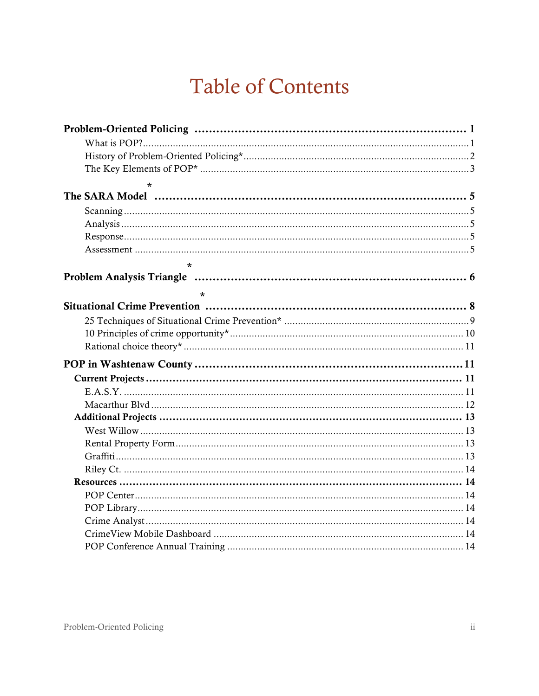# **Table of Contents**

| ∗       |  |
|---------|--|
|         |  |
| $\star$ |  |
|         |  |
|         |  |
|         |  |
|         |  |
|         |  |
|         |  |
|         |  |
|         |  |
|         |  |
|         |  |
|         |  |
|         |  |
|         |  |
|         |  |
|         |  |
|         |  |
|         |  |
|         |  |
|         |  |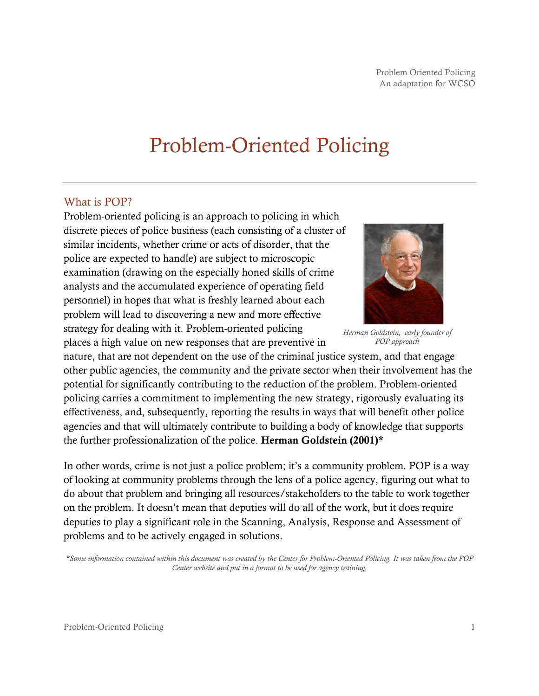# Problem-Oriented Policing

#### What is POP?

Problem-oriented policing is an approach to policing in which discrete pieces of police business (each consisting of a cluster of similar incidents, whether crime or acts of disorder, that the police are expected to handle) are subject to microscopic examination (drawing on the especially honed skills of crime analysts and the accumulated experience of operating field personnel) in hopes that what is freshly learned about each problem will lead to discovering a new and more effective strategy for dealing with it. Problem-oriented policing places a high value on new responses that are preventive in



*Herman Goldstein, early founder of POP approach*

nature, that are not dependent on the use of the criminal justice system, and that engage other public agencies, the community and the private sector when their involvement has the potential for significantly contributing to the reduction of the problem. Problem-oriented policing carries a commitment to implementing the new strategy, rigorously evaluating its effectiveness, and, subsequently, reporting the results in ways that will benefit other police agencies and that will ultimately contribute to building a body of knowledge that supports the further professionalization of the police. Herman Goldstein (2001)\*

In other words, crime is not just a police problem; it's a community problem. POP is a way of looking at community problems through the lens of a police agency, figuring out what to do about that problem and bringing all resources/stakeholders to the table to work together on the problem. It doesn't mean that deputies will do all of the work, but it does require deputies to play a significant role in the Scanning, Analysis, Response and Assessment of problems and to be actively engaged in solutions.

*\*Some information contained within this document was created by the Center for Problem-Oriented Policing. It was taken from the POP Center website and put in a format to be used for agency training.*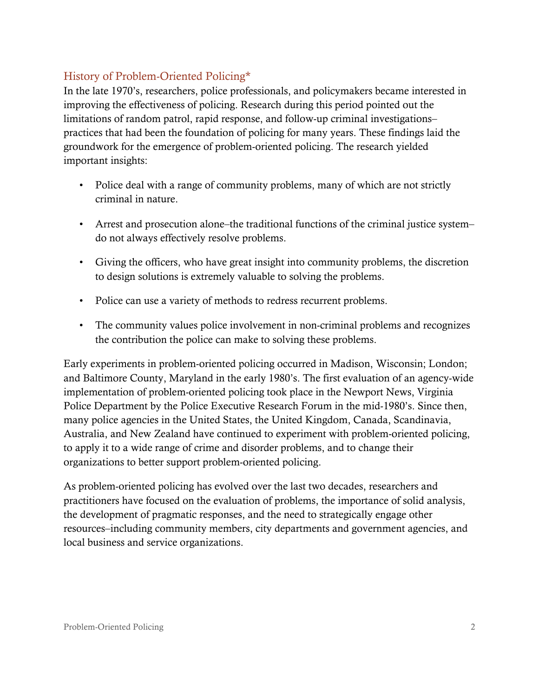## History of Problem-Oriented Policing\*

In the late 1970's, researchers, police professionals, and policymakers became interested in improving the effectiveness of policing. Research during this period pointed out the limitations of random patrol, rapid response, and follow-up criminal investigations– practices that had been the foundation of policing for many years. These findings laid the groundwork for the emergence of problem-oriented policing. The research yielded important insights:

- Police deal with a range of community problems, many of which are not strictly criminal in nature.
- Arrest and prosecution alone–the traditional functions of the criminal justice system– do not always effectively resolve problems.
- Giving the officers, who have great insight into community problems, the discretion to design solutions is extremely valuable to solving the problems.
- Police can use a variety of methods to redress recurrent problems.
- The community values police involvement in non-criminal problems and recognizes the contribution the police can make to solving these problems.

Early experiments in problem-oriented policing occurred in Madison, Wisconsin; London; and Baltimore County, Maryland in the early 1980's. The first evaluation of an agency-wide implementation of problem-oriented policing took place in the Newport News, Virginia Police Department by the Police Executive Research Forum in the mid-1980's. Since then, many police agencies in the United States, the United Kingdom, Canada, Scandinavia, Australia, and New Zealand have continued to experiment with problem-oriented policing, to apply it to a wide range of crime and disorder problems, and to change their organizations to better support problem-oriented policing.

As problem-oriented policing has evolved over the last two decades, researchers and practitioners have focused on the evaluation of problems, the importance of solid analysis, the development of pragmatic responses, and the need to strategically engage other resources–including community members, city departments and government agencies, and local business and service organizations.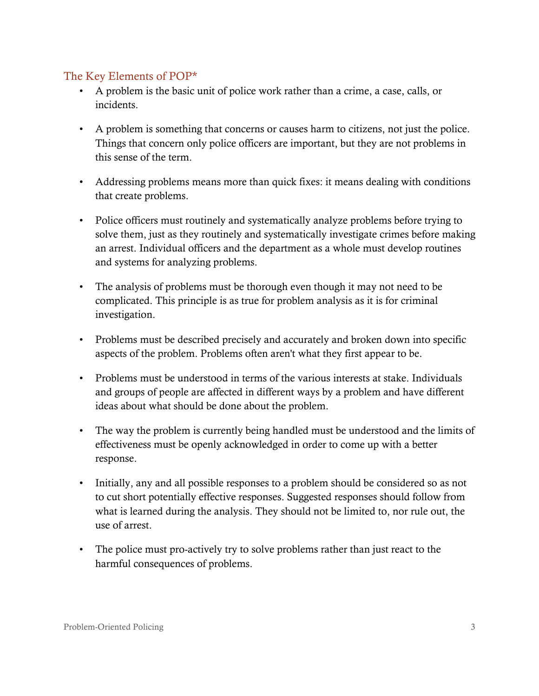## The Key Elements of POP\*

- A problem is the basic unit of police work rather than a crime, a case, calls, or incidents.
- A problem is something that concerns or causes harm to citizens, not just the police. Things that concern only police officers are important, but they are not problems in this sense of the term.
- Addressing problems means more than quick fixes: it means dealing with conditions that create problems.
- Police officers must routinely and systematically analyze problems before trying to solve them, just as they routinely and systematically investigate crimes before making an arrest. Individual officers and the department as a whole must develop routines and systems for analyzing problems.
- The analysis of problems must be thorough even though it may not need to be complicated. This principle is as true for problem analysis as it is for criminal investigation.
- Problems must be described precisely and accurately and broken down into specific aspects of the problem. Problems often aren't what they first appear to be.
- Problems must be understood in terms of the various interests at stake. Individuals and groups of people are affected in different ways by a problem and have different ideas about what should be done about the problem.
- The way the problem is currently being handled must be understood and the limits of effectiveness must be openly acknowledged in order to come up with a better response.
- Initially, any and all possible responses to a problem should be considered so as not to cut short potentially effective responses. Suggested responses should follow from what is learned during the analysis. They should not be limited to, nor rule out, the use of arrest.
- The police must pro-actively try to solve problems rather than just react to the harmful consequences of problems.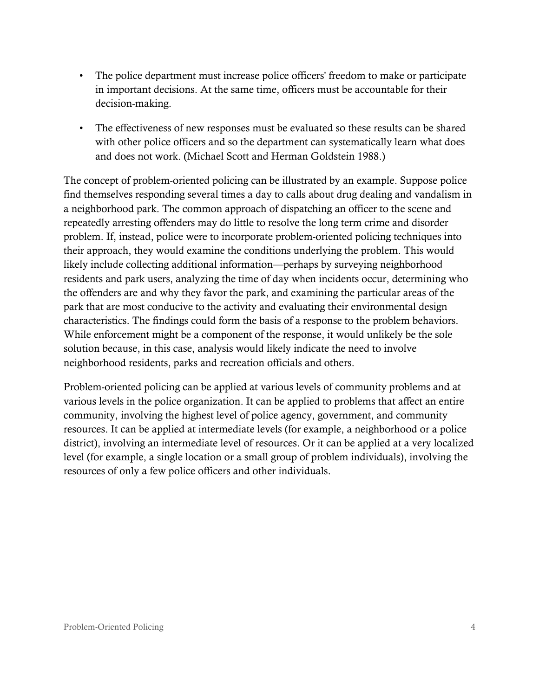- The police department must increase police officers' freedom to make or participate in important decisions. At the same time, officers must be accountable for their decision-making.
- The effectiveness of new responses must be evaluated so these results can be shared with other police officers and so the department can systematically learn what does and does not work. (Michael Scott and Herman Goldstein 1988.)

The concept of problem-oriented policing can be illustrated by an example. Suppose police find themselves responding several times a day to calls about drug dealing and vandalism in a neighborhood park. The common approach of dispatching an officer to the scene and repeatedly arresting offenders may do little to resolve the long term crime and disorder problem. If, instead, police were to incorporate problem-oriented policing techniques into their approach, they would examine the conditions underlying the problem. This would likely include collecting additional information—perhaps by surveying neighborhood residents and park users, analyzing the time of day when incidents occur, determining who the offenders are and why they favor the park, and examining the particular areas of the park that are most conducive to the activity and evaluating their environmental design characteristics. The findings could form the basis of a response to the problem behaviors. While enforcement might be a component of the response, it would unlikely be the sole solution because, in this case, analysis would likely indicate the need to involve neighborhood residents, parks and recreation officials and others.

Problem-oriented policing can be applied at various levels of community problems and at various levels in the police organization. It can be applied to problems that affect an entire community, involving the highest level of police agency, government, and community resources. It can be applied at intermediate levels (for example, a neighborhood or a police district), involving an intermediate level of resources. Or it can be applied at a very localized level (for example, a single location or a small group of problem individuals), involving the resources of only a few police officers and other individuals.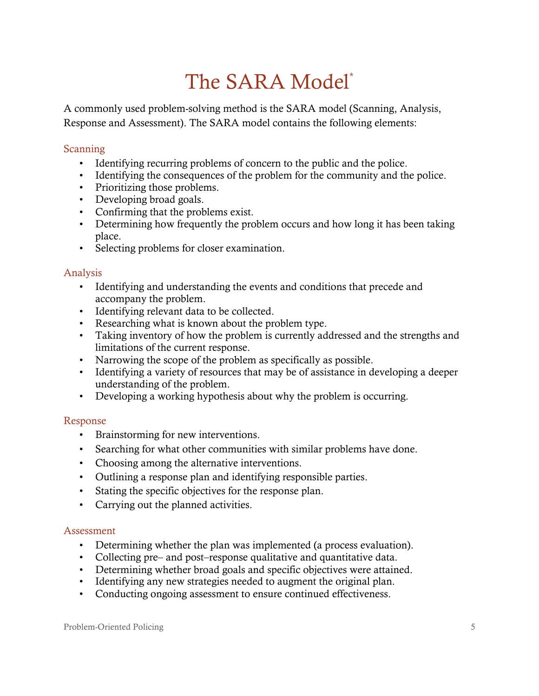# The SARA Model<sup>\*</sup>

A commonly used problem-solving method is the SARA model (Scanning, Analysis, Response and Assessment). The SARA model contains the following elements:

### **Scanning**

- Identifying recurring problems of concern to the public and the police.
- Identifying the consequences of the problem for the community and the police.
- Prioritizing those problems.
- Developing broad goals.
- Confirming that the problems exist.
- Determining how frequently the problem occurs and how long it has been taking place.
- Selecting problems for closer examination.

### Analysis

- Identifying and understanding the events and conditions that precede and accompany the problem.
- Identifying relevant data to be collected.
- Researching what is known about the problem type.
- Taking inventory of how the problem is currently addressed and the strengths and limitations of the current response.
- Narrowing the scope of the problem as specifically as possible.
- Identifying a variety of resources that may be of assistance in developing a deeper understanding of the problem.
- Developing a working hypothesis about why the problem is occurring.

### Response

- Brainstorming for new interventions.
- Searching for what other communities with similar problems have done.
- Choosing among the alternative interventions.
- Outlining a response plan and identifying responsible parties.
- Stating the specific objectives for the response plan.
- Carrying out the planned activities.

### Assessment

- Determining whether the plan was implemented (a process evaluation).
- Collecting pre– and post–response qualitative and quantitative data.
- Determining whether broad goals and specific objectives were attained.
- Identifying any new strategies needed to augment the original plan.
- Conducting ongoing assessment to ensure continued effectiveness.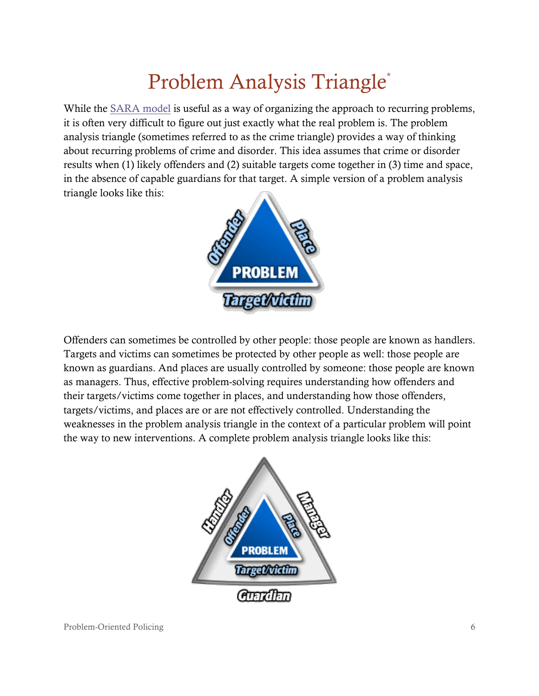# Problem Analysis Triangle<sup>\*</sup>

While the SARA model is useful as a way of organizing the approach to recurring problems, it is often very difficult to figure out just exactly what the real problem is. The problem analysis triangle (sometimes referred to as the crime triangle) provides a way of thinking about recurring problems of crime and disorder. This idea assumes that crime or disorder results when (1) likely offenders and (2) suitable targets come together in (3) time and space, in the absence of capable guardians for that target. A simple version of a problem analysis triangle looks like this:



Offenders can sometimes be controlled by other people: those people are known as handlers. Targets and victims can sometimes be protected by other people as well: those people are known as guardians. And places are usually controlled by someone: those people are known as managers. Thus, effective problem-solving requires understanding how offenders and their targets/victims come together in places, and understanding how those offenders, targets/victims, and places are or are not effectively controlled. Understanding the weaknesses in the problem analysis triangle in the context of a particular problem will point the way to new interventions. A complete problem analysis triangle looks like this:

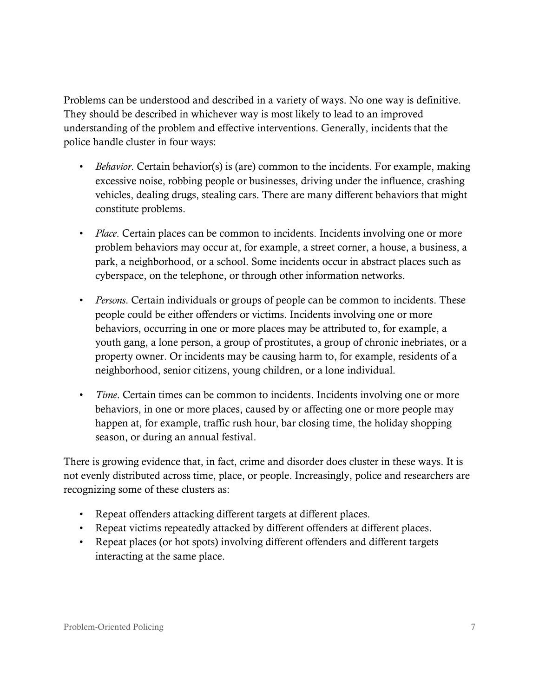Problems can be understood and described in a variety of ways. No one way is definitive. They should be described in whichever way is most likely to lead to an improved understanding of the problem and effective interventions. Generally, incidents that the police handle cluster in four ways:

- *Behavior*. Certain behavior(s) is (are) common to the incidents. For example, making excessive noise, robbing people or businesses, driving under the influence, crashing vehicles, dealing drugs, stealing cars. There are many different behaviors that might constitute problems.
- *Place*. Certain places can be common to incidents. Incidents involving one or more problem behaviors may occur at, for example, a street corner, a house, a business, a park, a neighborhood, or a school. Some incidents occur in abstract places such as cyberspace, on the telephone, or through other information networks.
- *Persons*. Certain individuals or groups of people can be common to incidents. These people could be either offenders or victims. Incidents involving one or more behaviors, occurring in one or more places may be attributed to, for example, a youth gang, a lone person, a group of prostitutes, a group of chronic inebriates, or a property owner. Or incidents may be causing harm to, for example, residents of a neighborhood, senior citizens, young children, or a lone individual.
- *Time*. Certain times can be common to incidents. Incidents involving one or more behaviors, in one or more places, caused by or affecting one or more people may happen at, for example, traffic rush hour, bar closing time, the holiday shopping season, or during an annual festival.

There is growing evidence that, in fact, crime and disorder does cluster in these ways. It is not evenly distributed across time, place, or people. Increasingly, police and researchers are recognizing some of these clusters as:

- Repeat offenders attacking different targets at different places.
- Repeat victims repeatedly attacked by different offenders at different places.
- Repeat places (or hot spots) involving different offenders and different targets interacting at the same place.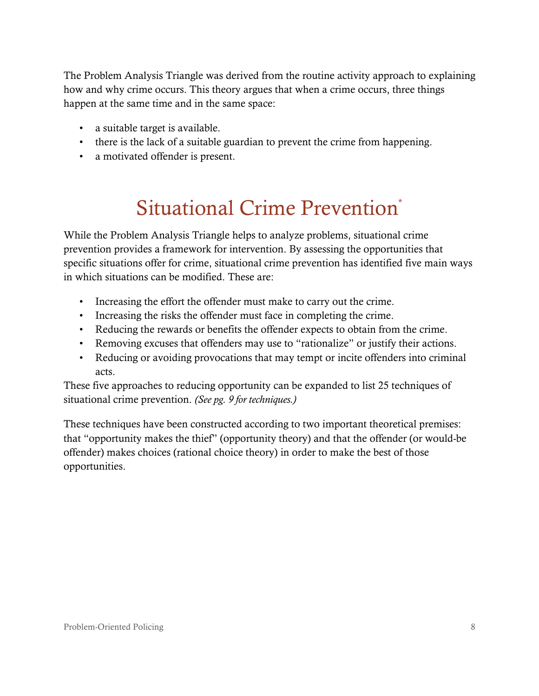The Problem Analysis Triangle was derived from the routine activity approach to explaining how and why crime occurs. This theory argues that when a crime occurs, three things happen at the same time and in the same space:

- a suitable target is available.
- there is the lack of a suitable guardian to prevent the crime from happening.
- a motivated offender is present.

# Situational Crime Prevention<sup>\*</sup>

While the Problem Analysis Triangle helps to analyze problems, situational crime prevention provides a framework for intervention. By assessing the opportunities that specific situations offer for crime, situational crime prevention has identified five main ways in which situations can be modified. These are:

- Increasing the effort the offender must make to carry out the crime.
- Increasing the risks the offender must face in completing the crime.
- Reducing the rewards or benefits the offender expects to obtain from the crime.
- Removing excuses that offenders may use to "rationalize" or justify their actions.
- Reducing or avoiding provocations that may tempt or incite offenders into criminal acts.

These five approaches to reducing opportunity can be expanded to list 25 techniques of situational crime prevention. *(See pg. 9 for techniques.)*

These techniques have been constructed according to two important theoretical premises: that "opportunity makes the thief" (opportunity theory) and that the offender (or would-be offender) makes choices (rational choice theory) in order to make the best of those opportunities.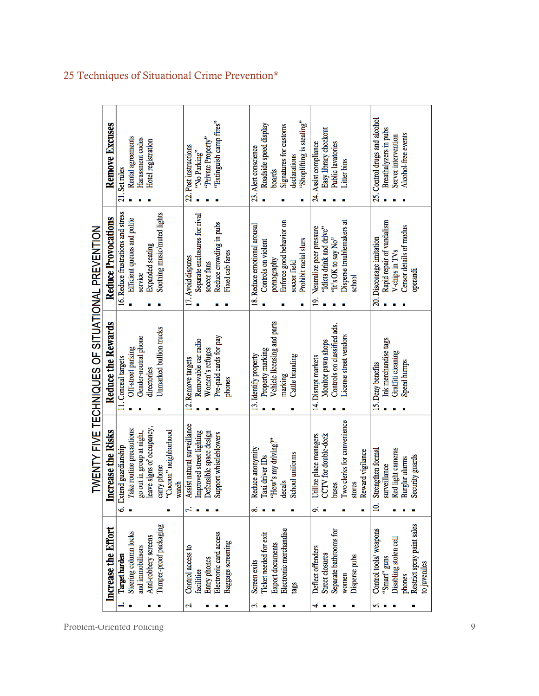|              |                                            |     |                                | TWENTY FIVE TECHNIQUES OF SITUATIONAL PREVENTION |                                    |                               |
|--------------|--------------------------------------------|-----|--------------------------------|--------------------------------------------------|------------------------------------|-------------------------------|
|              | Increase the Effort                        |     | Increase the Risks             | Reduce the Rewards                               | Reduce Provocations                | Remove Excuses                |
|              | <b>Target harden</b>                       |     | 6. Extend guardianship         | 11. Conceal targets                              | 16. Reduce frustrations and stress | 21. Set rules                 |
|              | Steering column locks                      |     | Take routine precautions:      | Off-street parking                               | Efficient queues and polite        | Rental agreements             |
|              | and immobilisers                           |     | go out in group at night,      | Gender-neutral phone                             | service                            | Harassment codes              |
|              | Anti-robbery screens                       |     | leave signs of occupancy,      | directories                                      | Expanded seating                   | Hotel registration            |
|              | Tamper-proof packaging                     |     | carry phone                    | Unmarked bullion trucks                          | Soothing music/muted lights        |                               |
|              |                                            |     | "Cocoon" neighborhood<br>watch |                                                  |                                    |                               |
| $\vec{\sim}$ | Control access to                          |     | Assist natural surveillance    | 12. Remove targets                               | 17. Avoid disputes                 | 22. Post instructions         |
|              | facilities                                 |     | Improved street lighting       | Removable car radio                              | Separate enclosures for rival      | "No Parking"                  |
|              | Entry phones                               |     | Defensible space design        | Women's refuges                                  | soccer fans                        | "Private Property"            |
|              | Electronic card access                     |     | Support whistleblowers         | Pre-paid cards for pay                           | Reduce crowding in pubs            | "Extinguish camp fires"       |
|              | Baggage screening                          |     |                                | phones                                           | Fixed cab fares                    |                               |
| 3            | Screen exits                               | ∞   | Reduce anonymity               | 13. Identify property                            | 18. Reduce emotional arousal       | 23. Alert conscience          |
|              | Ticket needed for exit                     |     | Taxi driver IDs                | Property marking                                 | Controls on violent                | Roadside speed display        |
|              | Export documents                           |     | "How's my driving?"            | Vehicle licensing and parts                      | pornography                        | boards                        |
|              | Electronic merchandise                     |     | decals                         | marking                                          | Enforce good behavior on           | Signatures for customs        |
|              | tags                                       |     | School uniforms                | Cattle branding                                  | soccer field                       | declarations                  |
|              |                                            |     |                                |                                                  | Prohibit racial slurs              | "Shoplifting is stealing"     |
| 4            | Deflect offenders                          | ö   | Utilize place managers         | 14. Disrupt markets                              | 19. Neutralize peer pressure       | 24. Assist compliance         |
|              | Street closures                            |     | CCTV for double-deck           | Monitor pawn shops                               | "Idiots drink and drive"           | Easy library checkout         |
|              | Separate bathrooms for                     |     | buses                          | Controls on classified ads.                      | "It's OK to say No"                | Public lavatories             |
|              | women                                      |     | Two clerks for convenience     | License street vendors                           | Disperse troublemakers at          | <b>Litter</b> bins            |
|              | Disperse pubs                              |     | stores                         |                                                  | school                             |                               |
|              |                                            |     | Reward vigilance               |                                                  |                                    |                               |
| n            | Control tools/ weapons                     | , ⊵ | Strengthen formal              | 15. Deny benefits                                | 20. Discourage imitation           | 25. Control drugs and alcohol |
|              | "Smart" guns                               |     | surveillance                   | Ink merchandise tags                             | Rapid repair of vandalism          | Breathalyzers in pubs         |
|              | Disabling stolen cell                      |     | Red light cameras              | Graffiti cleaning                                | V-chips in TVs                     | Server intervention           |
|              | phones                                     |     | Burglar alarms                 | <b>Speed humps</b>                               | Censor details of modus            | Alcohol-free events           |
|              | Restrict spray paint sales<br>to juveniles |     | Security guards                |                                                  | operandi                           |                               |

# 25 Techniques of Situational Crime Prevention\*

Problem-Oriented Policing 9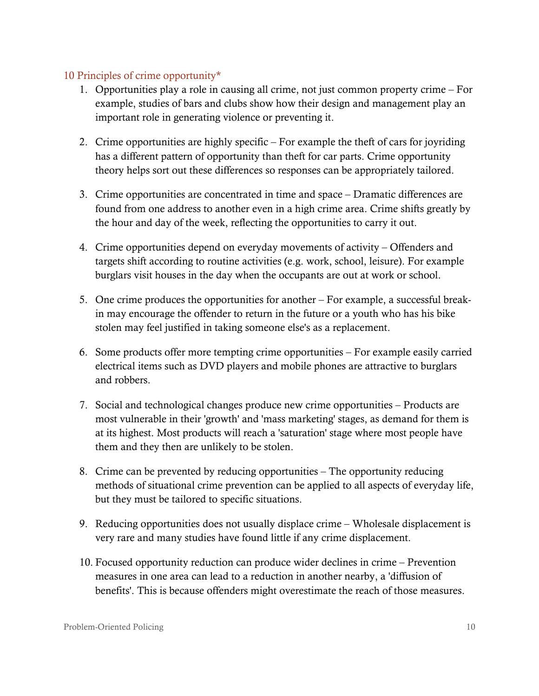### 10 Principles of crime opportunity\*

- 1. Opportunities play a role in causing all crime, not just common property crime For example, studies of bars and clubs show how their design and management play an important role in generating violence or preventing it.
- 2. Crime opportunities are highly specific For example the theft of cars for joyriding has a different pattern of opportunity than theft for car parts. Crime opportunity theory helps sort out these differences so responses can be appropriately tailored.
- 3. Crime opportunities are concentrated in time and space Dramatic differences are found from one address to another even in a high crime area. Crime shifts greatly by the hour and day of the week, reflecting the opportunities to carry it out.
- 4. Crime opportunities depend on everyday movements of activity Offenders and targets shift according to routine activities (e.g. work, school, leisure). For example burglars visit houses in the day when the occupants are out at work or school.
- 5. One crime produces the opportunities for another For example, a successful breakin may encourage the offender to return in the future or a youth who has his bike stolen may feel justified in taking someone else's as a replacement.
- 6. Some products offer more tempting crime opportunities For example easily carried electrical items such as DVD players and mobile phones are attractive to burglars and robbers.
- 7. Social and technological changes produce new crime opportunities Products are most vulnerable in their 'growth' and 'mass marketing' stages, as demand for them is at its highest. Most products will reach a 'saturation' stage where most people have them and they then are unlikely to be stolen.
- 8. Crime can be prevented by reducing opportunities The opportunity reducing methods of situational crime prevention can be applied to all aspects of everyday life, but they must be tailored to specific situations.
- 9. Reducing opportunities does not usually displace crime Wholesale displacement is very rare and many studies have found little if any crime displacement.
- 10. Focused opportunity reduction can produce wider declines in crime Prevention measures in one area can lead to a reduction in another nearby, a 'diffusion of benefits'. This is because offenders might overestimate the reach of those measures.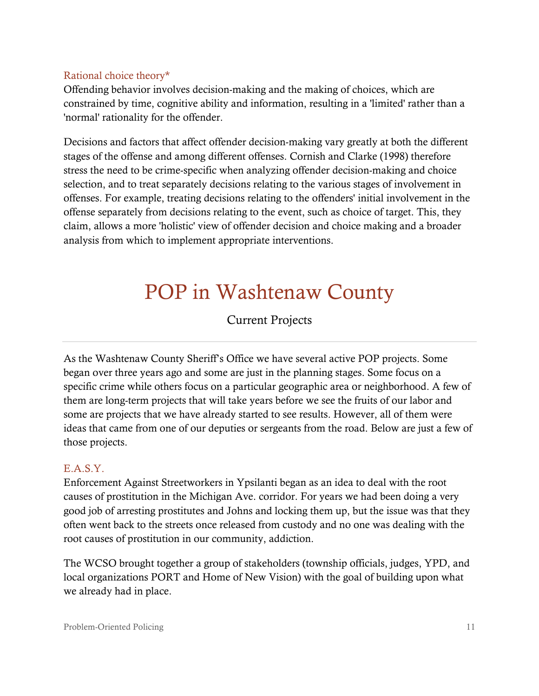### Rational choice theory\*

Offending behavior involves decision-making and the making of choices, which are constrained by time, cognitive ability and information, resulting in a 'limited' rather than a 'normal' rationality for the offender.

Decisions and factors that affect offender decision-making vary greatly at both the different stages of the offense and among different offenses. Cornish and Clarke (1998) therefore stress the need to be crime-specific when analyzing offender decision-making and choice selection, and to treat separately decisions relating to the various stages of involvement in offenses. For example, treating decisions relating to the offenders' initial involvement in the offense separately from decisions relating to the event, such as choice of target. This, they claim, allows a more 'holistic' view of offender decision and choice making and a broader analysis from which to implement appropriate interventions.

# POP in Washtenaw County

Current Projects

As the Washtenaw County Sheriff's Office we have several active POP projects. Some began over three years ago and some are just in the planning stages. Some focus on a specific crime while others focus on a particular geographic area or neighborhood. A few of them are long-term projects that will take years before we see the fruits of our labor and some are projects that we have already started to see results. However, all of them were ideas that came from one of our deputies or sergeants from the road. Below are just a few of those projects.

### E.A.S.Y.

Enforcement Against Streetworkers in Ypsilanti began as an idea to deal with the root causes of prostitution in the Michigan Ave. corridor. For years we had been doing a very good job of arresting prostitutes and Johns and locking them up, but the issue was that they often went back to the streets once released from custody and no one was dealing with the root causes of prostitution in our community, addiction.

The WCSO brought together a group of stakeholders (township officials, judges, YPD, and local organizations PORT and Home of New Vision) with the goal of building upon what we already had in place.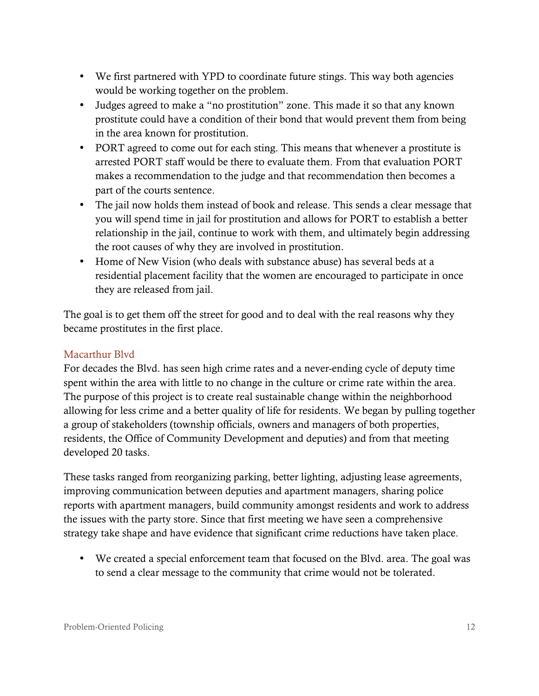- We first partnered with YPD to coordinate future stings. This way both agencies would be working together on the problem.
- Judges agreed to make a "no prostitution" zone. This made it so that any known prostitute could have a condition of their bond that would prevent them from being in the area known for prostitution.
- PORT agreed to come out for each sting. This means that whenever a prostitute is arrested PORT staff would be there to evaluate them. From that evaluation PORT makes a recommendation to the judge and that recommendation then becomes a part of the courts sentence.
- The jail now holds them instead of book and release. This sends a clear message that you will spend time in jail for prostitution and allows for PORT to establish a better relationship in the jail, continue to work with them, and ultimately begin addressing the root causes of why they are involved in prostitution.
- Home of New Vision (who deals with substance abuse) has several beds at a residential placement facility that the women are encouraged to participate in once they are released from jail.

The goal is to get them off the street for good and to deal with the real reasons why they became prostitutes in the first place.

### Macarthur Blvd

For decades the Blvd. has seen high crime rates and a never-ending cycle of deputy time spent within the area with little to no change in the culture or crime rate within the area. The purpose of this project is to create real sustainable change within the neighborhood allowing for less crime and a better quality of life for residents. We began by pulling together a group of stakeholders (township officials, owners and managers of both properties, residents, the Office of Community Development and deputies) and from that meeting developed 20 tasks.

These tasks ranged from reorganizing parking, better lighting, adjusting lease agreements, improving communication between deputies and apartment managers, sharing police reports with apartment managers, build community amongst residents and work to address the issues with the party store. Since that first meeting we have seen a comprehensive strategy take shape and have evidence that significant crime reductions have taken place.

• We created a special enforcement team that focused on the Blvd. area. The goal was to send a clear message to the community that crime would not be tolerated.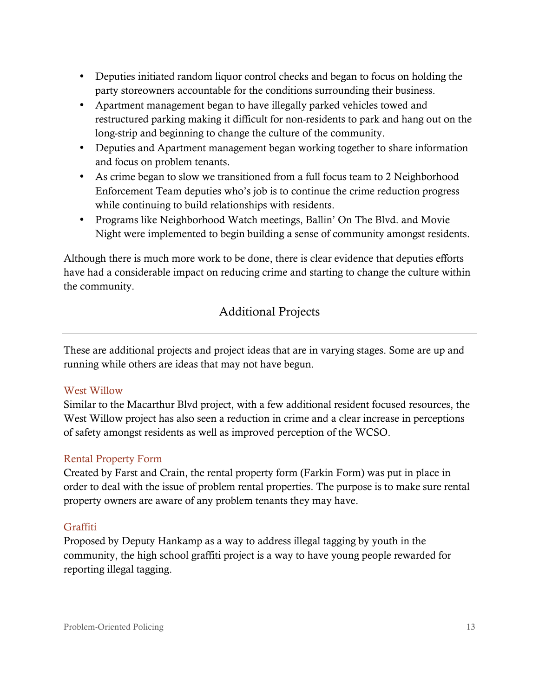- Deputies initiated random liquor control checks and began to focus on holding the party storeowners accountable for the conditions surrounding their business.
- Apartment management began to have illegally parked vehicles towed and restructured parking making it difficult for non-residents to park and hang out on the long-strip and beginning to change the culture of the community.
- Deputies and Apartment management began working together to share information and focus on problem tenants.
- As crime began to slow we transitioned from a full focus team to 2 Neighborhood Enforcement Team deputies who's job is to continue the crime reduction progress while continuing to build relationships with residents.
- Programs like Neighborhood Watch meetings, Ballin' On The Blvd. and Movie Night were implemented to begin building a sense of community amongst residents.

Although there is much more work to be done, there is clear evidence that deputies efforts have had a considerable impact on reducing crime and starting to change the culture within the community.

# Additional Projects

These are additional projects and project ideas that are in varying stages. Some are up and running while others are ideas that may not have begun.

### West Willow

Similar to the Macarthur Blvd project, with a few additional resident focused resources, the West Willow project has also seen a reduction in crime and a clear increase in perceptions of safety amongst residents as well as improved perception of the WCSO.

### Rental Property Form

Created by Farst and Crain, the rental property form (Farkin Form) was put in place in order to deal with the issue of problem rental properties. The purpose is to make sure rental property owners are aware of any problem tenants they may have.

## Graffiti

Proposed by Deputy Hankamp as a way to address illegal tagging by youth in the community, the high school graffiti project is a way to have young people rewarded for reporting illegal tagging.